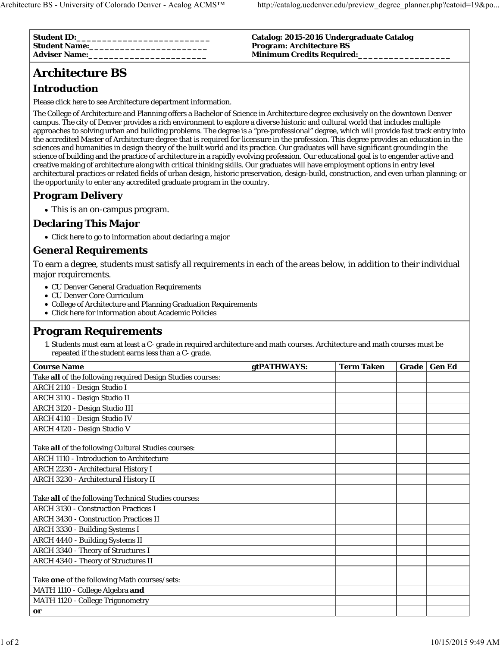| <b>Student ID:</b><br><b>Student Name:</b> | Catalog: 2015-2016 Undergraduate Catalog<br><b>Program: Architecture BS</b> |
|--------------------------------------------|-----------------------------------------------------------------------------|
| <b>Adviser Name:</b>                       | <b>Minimum Credits Required:</b>                                            |

# **Architecture BS**

## **Introduction**

Please click here to see Architecture department information.

The College of Architecture and Planning offers a Bachelor of Science in Architecture degree exclusively on the downtown Denver campus. The city of Denver provides a rich environment to explore a diverse historic and cultural world that includes multiple approaches to solving urban and building problems. The degree is a "pre-professional" degree, which will provide fast track entry into the accredited Master of Architecture degree that is required for licensure in the profession. This degree provides an education in the sciences and humanities in design theory of the built world and its practice. Our graduates will have significant grounding in the science of building and the practice of architecture in a rapidly evolving profession. Our educational goal is to engender active and creative making of architecture along with critical thinking skills. Our graduates will have employment options in entry level architectural practices or related fields of urban design, historic preservation, design-build, construction, and even urban planning; or the opportunity to enter any accredited graduate program in the country.

### **Program Delivery**

This is an on-campus program.

# **Declaring This Major**

Click here to go to information about declaring a major

#### **General Requirements**

To earn a degree, students must satisfy all requirements in each of the areas below, in addition to their individual major requirements.

- CU Denver General Graduation Requirements
- CU Denver Core Curriculum
- College of Architecture and Planning Graduation Requirements
- Click here for information about Academic Policies

### **Program Requirements**

1. Students must earn at least a C- grade in required architecture and math courses. Architecture and math courses must be repeated if the student earns less than a C- grade.

| <b>Course Name</b>                                                  | gtPATHWAYS: | <b>Term Taken</b> | Grade | <b>Gen Ed</b> |
|---------------------------------------------------------------------|-------------|-------------------|-------|---------------|
| Take all of the following required Design Studies courses:          |             |                   |       |               |
| ARCH 2110 - Design Studio I                                         |             |                   |       |               |
| ARCH 3110 - Design Studio II                                        |             |                   |       |               |
| ARCH 3120 - Design Studio III                                       |             |                   |       |               |
| ARCH 4110 - Design Studio IV                                        |             |                   |       |               |
| ARCH 4120 - Design Studio V                                         |             |                   |       |               |
| Take all of the following Cultural Studies courses:                 |             |                   |       |               |
| <b>ARCH 1110 - Introduction to Architecture</b>                     |             |                   |       |               |
| ARCH 2230 - Architectural History I                                 |             |                   |       |               |
| ARCH 3230 - Architectural History II                                |             |                   |       |               |
| Take all of the following Technical Studies courses:                |             |                   |       |               |
| <b>ARCH 3130 - Construction Practices I</b>                         |             |                   |       |               |
| <b>ARCH 3430 - Construction Practices II</b>                        |             |                   |       |               |
| ARCH 3330 - Building Systems I                                      |             |                   |       |               |
| <b>ARCH 4440 - Building Systems II</b>                              |             |                   |       |               |
| ARCH 3340 - Theory of Structures I                                  |             |                   |       |               |
| <b>ARCH 4340 - Theory of Structures II</b>                          |             |                   |       |               |
| Take one of the following Math courses/sets:                        |             |                   |       |               |
| MATH 1110 - College Algebra and<br>MATH 1120 - College Trigonometry |             |                   |       |               |
| or                                                                  |             |                   |       |               |